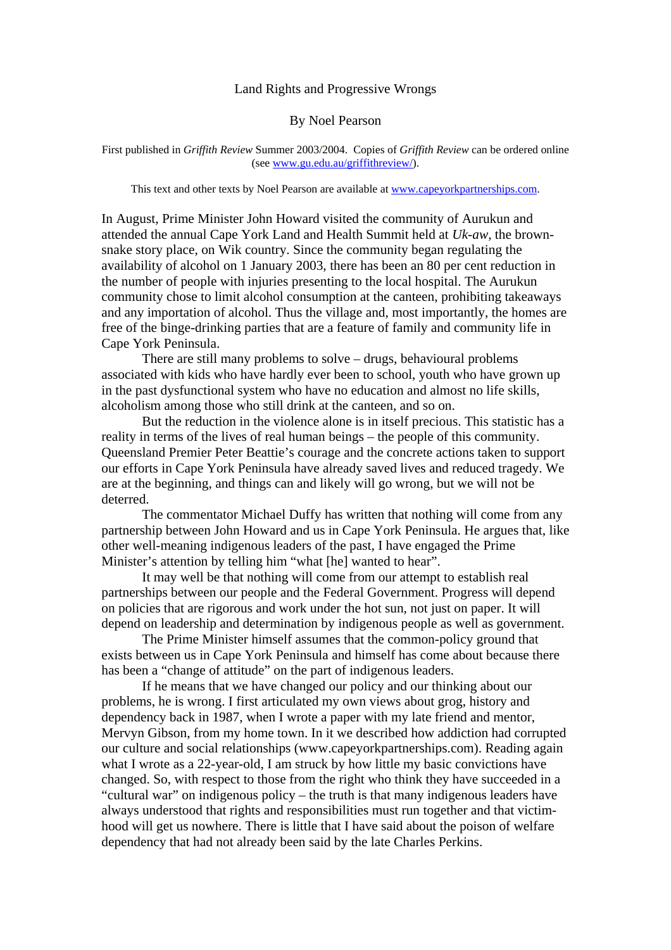## Land Rights and Progressive Wrongs

#### By Noel Pearson

First published in *Griffith Review* Summer 2003/2004. Copies of *Griffith Review* can be ordered online (see [www.gu.edu.au/griffithreview/\)](http://www.gu.edu.au/griffithreview/).

This text and other texts by Noel Pearson are available at [www.capeyorkpartnerships.com](http://www.capeyorkpartnerships.com/).

In August, Prime Minister John Howard visited the community of Aurukun and attended the annual Cape York Land and Health Summit held at *Uk-aw,* the brownsnake story place, on Wik country. Since the community began regulating the availability of alcohol on 1 January 2003, there has been an 80 per cent reduction in the number of people with injuries presenting to the local hospital. The Aurukun community chose to limit alcohol consumption at the canteen, prohibiting takeaways and any importation of alcohol. Thus the village and, most importantly, the homes are free of the binge-drinking parties that are a feature of family and community life in Cape York Peninsula.

There are still many problems to solve – drugs, behavioural problems associated with kids who have hardly ever been to school, youth who have grown up in the past dysfunctional system who have no education and almost no life skills, alcoholism among those who still drink at the canteen, and so on.

But the reduction in the violence alone is in itself precious. This statistic has a reality in terms of the lives of real human beings – the people of this community. Queensland Premier Peter Beattie's courage and the concrete actions taken to support our efforts in Cape York Peninsula have already saved lives and reduced tragedy. We are at the beginning, and things can and likely will go wrong, but we will not be deterred.

The commentator Michael Duffy has written that nothing will come from any partnership between John Howard and us in Cape York Peninsula. He argues that, like other well-meaning indigenous leaders of the past, I have engaged the Prime Minister's attention by telling him "what [he] wanted to hear".

It may well be that nothing will come from our attempt to establish real partnerships between our people and the Federal Government. Progress will depend on policies that are rigorous and work under the hot sun, not just on paper. It will depend on leadership and determination by indigenous people as well as government.

The Prime Minister himself assumes that the common-policy ground that exists between us in Cape York Peninsula and himself has come about because there has been a "change of attitude" on the part of indigenous leaders.

If he means that we have changed our policy and our thinking about our problems, he is wrong. I first articulated my own views about grog, history and dependency back in 1987, when I wrote a paper with my late friend and mentor, Mervyn Gibson, from my home town. In it we described how addiction had corrupted our culture and social relationships (www.capeyorkpartnerships.com). Reading again what I wrote as a 22-year-old, I am struck by how little my basic convictions have changed. So, with respect to those from the right who think they have succeeded in a "cultural war" on indigenous policy – the truth is that many indigenous leaders have always understood that rights and responsibilities must run together and that victimhood will get us nowhere. There is little that I have said about the poison of welfare dependency that had not already been said by the late Charles Perkins.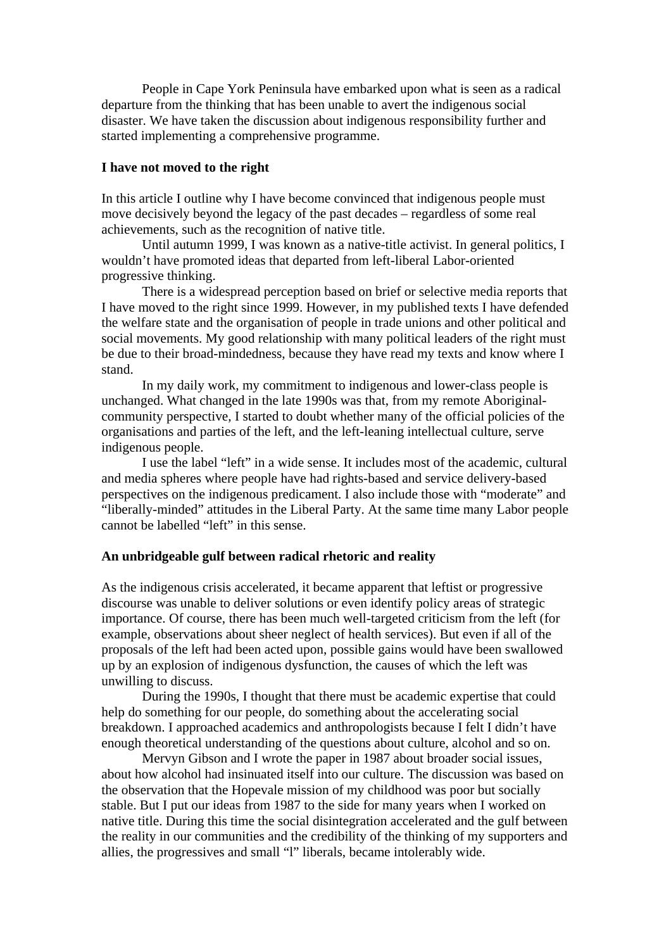People in Cape York Peninsula have embarked upon what is seen as a radical departure from the thinking that has been unable to avert the indigenous social disaster. We have taken the discussion about indigenous responsibility further and started implementing a comprehensive programme.

## **I have not moved to the right**

In this article I outline why I have become convinced that indigenous people must move decisively beyond the legacy of the past decades – regardless of some real achievements, such as the recognition of native title.

Until autumn 1999, I was known as a native-title activist. In general politics, I wouldn't have promoted ideas that departed from left-liberal Labor-oriented progressive thinking.

There is a widespread perception based on brief or selective media reports that I have moved to the right since 1999. However, in my published texts I have defended the welfare state and the organisation of people in trade unions and other political and social movements. My good relationship with many political leaders of the right must be due to their broad-mindedness, because they have read my texts and know where I stand.

In my daily work, my commitment to indigenous and lower-class people is unchanged. What changed in the late 1990s was that, from my remote Aboriginalcommunity perspective, I started to doubt whether many of the official policies of the organisations and parties of the left, and the left-leaning intellectual culture, serve indigenous people.

I use the label "left" in a wide sense. It includes most of the academic, cultural and media spheres where people have had rights-based and service delivery-based perspectives on the indigenous predicament. I also include those with "moderate" and "liberally-minded" attitudes in the Liberal Party. At the same time many Labor people cannot be labelled "left" in this sense.

### **An unbridgeable gulf between radical rhetoric and reality**

As the indigenous crisis accelerated, it became apparent that leftist or progressive discourse was unable to deliver solutions or even identify policy areas of strategic importance. Of course, there has been much well-targeted criticism from the left (for example, observations about sheer neglect of health services). But even if all of the proposals of the left had been acted upon, possible gains would have been swallowed up by an explosion of indigenous dysfunction, the causes of which the left was unwilling to discuss.

During the 1990s, I thought that there must be academic expertise that could help do something for our people, do something about the accelerating social breakdown. I approached academics and anthropologists because I felt I didn't have enough theoretical understanding of the questions about culture, alcohol and so on.

Mervyn Gibson and I wrote the paper in 1987 about broader social issues, about how alcohol had insinuated itself into our culture. The discussion was based on the observation that the Hopevale mission of my childhood was poor but socially stable. But I put our ideas from 1987 to the side for many years when I worked on native title. During this time the social disintegration accelerated and the gulf between the reality in our communities and the credibility of the thinking of my supporters and allies, the progressives and small "l" liberals, became intolerably wide.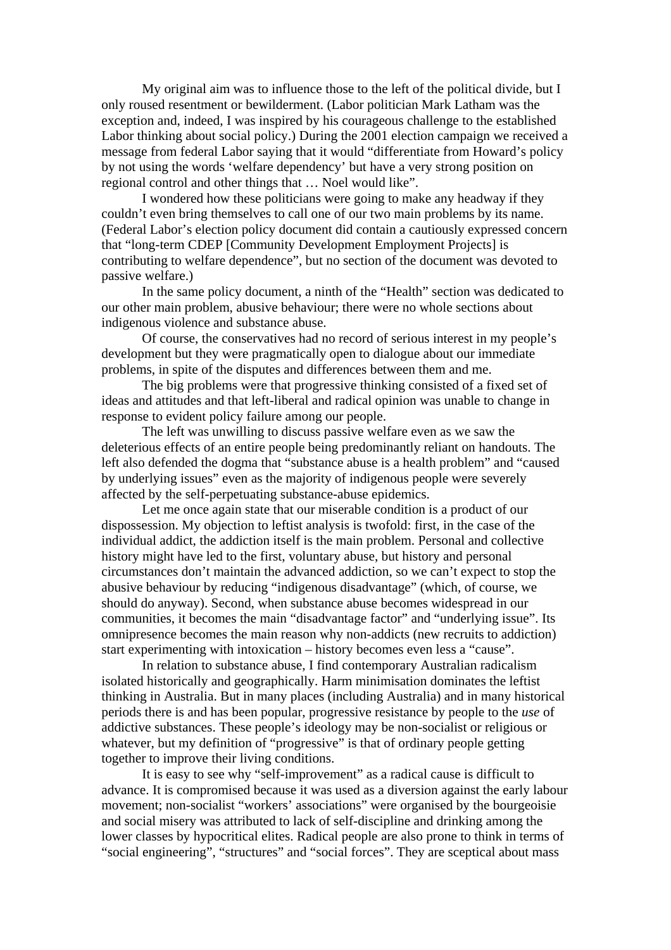My original aim was to influence those to the left of the political divide, but I only roused resentment or bewilderment. (Labor politician Mark Latham was the exception and, indeed, I was inspired by his courageous challenge to the established Labor thinking about social policy.) During the 2001 election campaign we received a message from federal Labor saying that it would "differentiate from Howard's policy by not using the words 'welfare dependency' but have a very strong position on regional control and other things that … Noel would like".

I wondered how these politicians were going to make any headway if they couldn't even bring themselves to call one of our two main problems by its name. (Federal Labor's election policy document did contain a cautiously expressed concern that "long-term CDEP [Community Development Employment Projects] is contributing to welfare dependence", but no section of the document was devoted to passive welfare.)

In the same policy document, a ninth of the "Health" section was dedicated to our other main problem, abusive behaviour; there were no whole sections about indigenous violence and substance abuse.

Of course, the conservatives had no record of serious interest in my people's development but they were pragmatically open to dialogue about our immediate problems, in spite of the disputes and differences between them and me.

The big problems were that progressive thinking consisted of a fixed set of ideas and attitudes and that left-liberal and radical opinion was unable to change in response to evident policy failure among our people.

The left was unwilling to discuss passive welfare even as we saw the deleterious effects of an entire people being predominantly reliant on handouts. The left also defended the dogma that "substance abuse is a health problem" and "caused by underlying issues" even as the majority of indigenous people were severely affected by the self-perpetuating substance-abuse epidemics.

Let me once again state that our miserable condition is a product of our dispossession. My objection to leftist analysis is twofold: first, in the case of the individual addict, the addiction itself is the main problem. Personal and collective history might have led to the first, voluntary abuse, but history and personal circumstances don't maintain the advanced addiction, so we can't expect to stop the abusive behaviour by reducing "indigenous disadvantage" (which, of course, we should do anyway). Second, when substance abuse becomes widespread in our communities, it becomes the main "disadvantage factor" and "underlying issue". Its omnipresence becomes the main reason why non-addicts (new recruits to addiction) start experimenting with intoxication – history becomes even less a "cause".

In relation to substance abuse, I find contemporary Australian radicalism isolated historically and geographically. Harm minimisation dominates the leftist thinking in Australia. But in many places (including Australia) and in many historical periods there is and has been popular, progressive resistance by people to the *use* of addictive substances. These people's ideology may be non-socialist or religious or whatever, but my definition of "progressive" is that of ordinary people getting together to improve their living conditions.

It is easy to see why "self-improvement" as a radical cause is difficult to advance. It is compromised because it was used as a diversion against the early labour movement; non-socialist "workers' associations" were organised by the bourgeoisie and social misery was attributed to lack of self-discipline and drinking among the lower classes by hypocritical elites. Radical people are also prone to think in terms of "social engineering", "structures" and "social forces". They are sceptical about mass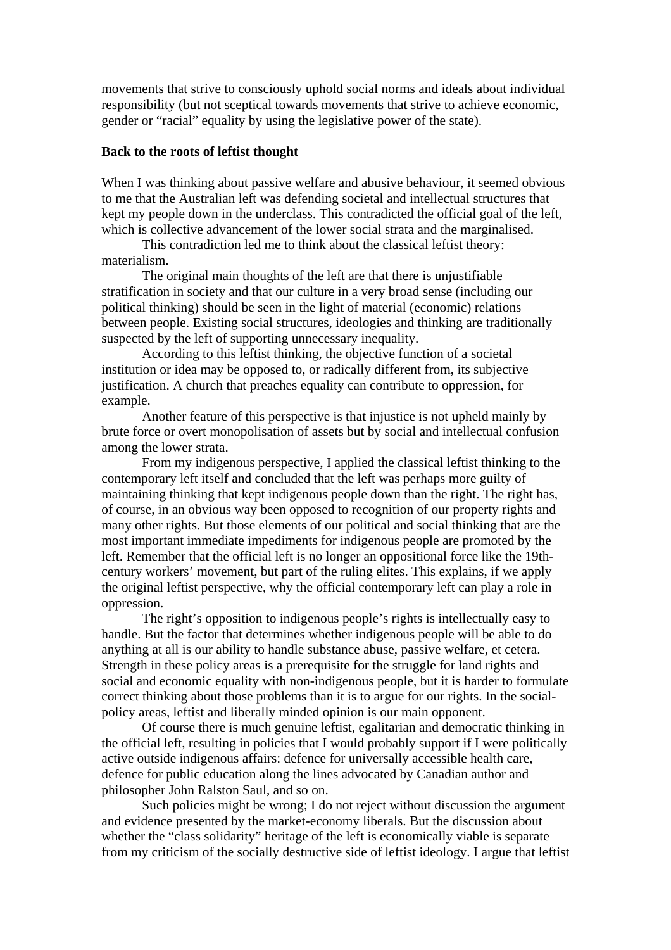movements that strive to consciously uphold social norms and ideals about individual responsibility (but not sceptical towards movements that strive to achieve economic, gender or "racial" equality by using the legislative power of the state).

# **Back to the roots of leftist thought**

When I was thinking about passive welfare and abusive behaviour, it seemed obvious to me that the Australian left was defending societal and intellectual structures that kept my people down in the underclass. This contradicted the official goal of the left, which is collective advancement of the lower social strata and the marginalised.

This contradiction led me to think about the classical leftist theory: materialism.

The original main thoughts of the left are that there is unjustifiable stratification in society and that our culture in a very broad sense (including our political thinking) should be seen in the light of material (economic) relations between people. Existing social structures, ideologies and thinking are traditionally suspected by the left of supporting unnecessary inequality.

According to this leftist thinking, the objective function of a societal institution or idea may be opposed to, or radically different from, its subjective justification. A church that preaches equality can contribute to oppression, for example.

Another feature of this perspective is that injustice is not upheld mainly by brute force or overt monopolisation of assets but by social and intellectual confusion among the lower strata.

From my indigenous perspective, I applied the classical leftist thinking to the contemporary left itself and concluded that the left was perhaps more guilty of maintaining thinking that kept indigenous people down than the right. The right has, of course, in an obvious way been opposed to recognition of our property rights and many other rights. But those elements of our political and social thinking that are the most important immediate impediments for indigenous people are promoted by the left. Remember that the official left is no longer an oppositional force like the 19thcentury workers' movement, but part of the ruling elites. This explains, if we apply the original leftist perspective, why the official contemporary left can play a role in oppression.

The right's opposition to indigenous people's rights is intellectually easy to handle. But the factor that determines whether indigenous people will be able to do anything at all is our ability to handle substance abuse, passive welfare, et cetera. Strength in these policy areas is a prerequisite for the struggle for land rights and social and economic equality with non-indigenous people, but it is harder to formulate correct thinking about those problems than it is to argue for our rights. In the socialpolicy areas, leftist and liberally minded opinion is our main opponent.

Of course there is much genuine leftist, egalitarian and democratic thinking in the official left, resulting in policies that I would probably support if I were politically active outside indigenous affairs: defence for universally accessible health care, defence for public education along the lines advocated by Canadian author and philosopher John Ralston Saul, and so on.

Such policies might be wrong; I do not reject without discussion the argument and evidence presented by the market-economy liberals. But the discussion about whether the "class solidarity" heritage of the left is economically viable is separate from my criticism of the socially destructive side of leftist ideology. I argue that leftist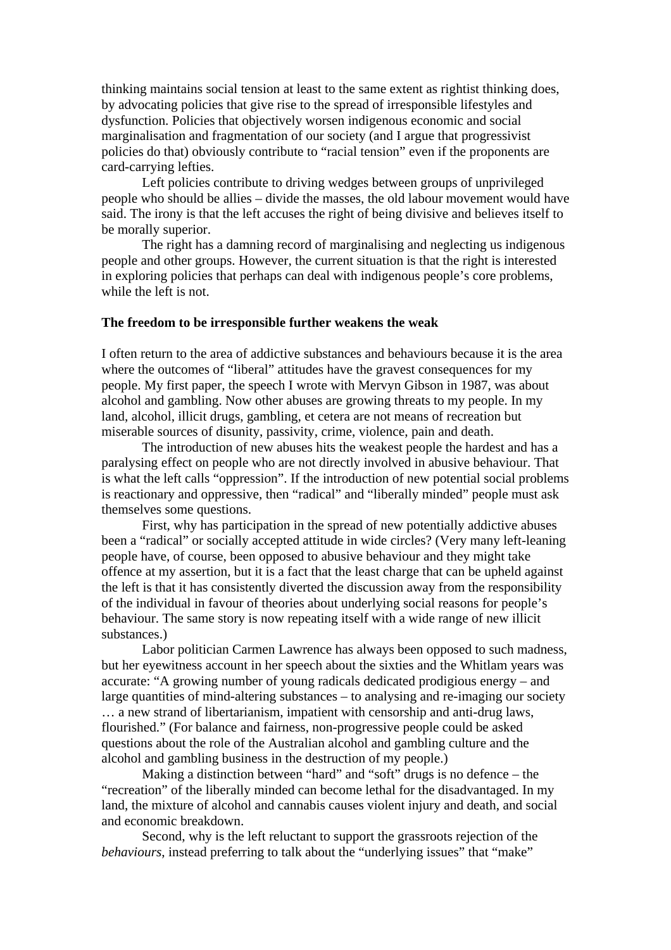thinking maintains social tension at least to the same extent as rightist thinking does, by advocating policies that give rise to the spread of irresponsible lifestyles and dysfunction. Policies that objectively worsen indigenous economic and social marginalisation and fragmentation of our society (and I argue that progressivist policies do that) obviously contribute to "racial tension" even if the proponents are card-carrying lefties.

Left policies contribute to driving wedges between groups of unprivileged people who should be allies – divide the masses, the old labour movement would have said. The irony is that the left accuses the right of being divisive and believes itself to be morally superior.

The right has a damning record of marginalising and neglecting us indigenous people and other groups. However, the current situation is that the right is interested in exploring policies that perhaps can deal with indigenous people's core problems, while the left is not.

# **The freedom to be irresponsible further weakens the weak**

I often return to the area of addictive substances and behaviours because it is the area where the outcomes of "liberal" attitudes have the gravest consequences for my people. My first paper, the speech I wrote with Mervyn Gibson in 1987, was about alcohol and gambling. Now other abuses are growing threats to my people. In my land, alcohol, illicit drugs, gambling, et cetera are not means of recreation but miserable sources of disunity, passivity, crime, violence, pain and death.

The introduction of new abuses hits the weakest people the hardest and has a paralysing effect on people who are not directly involved in abusive behaviour. That is what the left calls "oppression". If the introduction of new potential social problems is reactionary and oppressive, then "radical" and "liberally minded" people must ask themselves some questions.

First, why has participation in the spread of new potentially addictive abuses been a "radical" or socially accepted attitude in wide circles? (Very many left-leaning people have, of course, been opposed to abusive behaviour and they might take offence at my assertion, but it is a fact that the least charge that can be upheld against the left is that it has consistently diverted the discussion away from the responsibility of the individual in favour of theories about underlying social reasons for people's behaviour. The same story is now repeating itself with a wide range of new illicit substances.)

Labor politician Carmen Lawrence has always been opposed to such madness, but her eyewitness account in her speech about the sixties and the Whitlam years was accurate: "A growing number of young radicals dedicated prodigious energy – and large quantities of mind-altering substances – to analysing and re-imaging our society … a new strand of libertarianism, impatient with censorship and anti-drug laws, flourished." (For balance and fairness, non-progressive people could be asked questions about the role of the Australian alcohol and gambling culture and the alcohol and gambling business in the destruction of my people.)

Making a distinction between "hard" and "soft" drugs is no defence – the "recreation" of the liberally minded can become lethal for the disadvantaged. In my land, the mixture of alcohol and cannabis causes violent injury and death, and social and economic breakdown.

Second, why is the left reluctant to support the grassroots rejection of the *behaviours*, instead preferring to talk about the "underlying issues" that "make"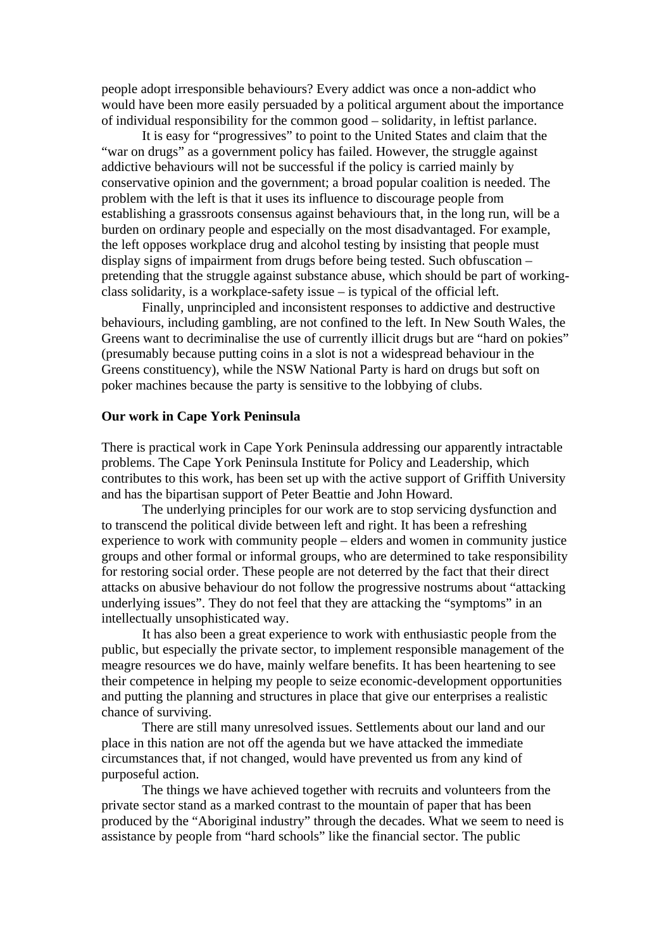people adopt irresponsible behaviours? Every addict was once a non-addict who would have been more easily persuaded by a political argument about the importance of individual responsibility for the common good – solidarity, in leftist parlance.

It is easy for "progressives" to point to the United States and claim that the "war on drugs" as a government policy has failed. However, the struggle against addictive behaviours will not be successful if the policy is carried mainly by conservative opinion and the government; a broad popular coalition is needed. The problem with the left is that it uses its influence to discourage people from establishing a grassroots consensus against behaviours that, in the long run, will be a burden on ordinary people and especially on the most disadvantaged. For example, the left opposes workplace drug and alcohol testing by insisting that people must display signs of impairment from drugs before being tested. Such obfuscation – pretending that the struggle against substance abuse, which should be part of workingclass solidarity, is a workplace-safety issue – is typical of the official left.

Finally, unprincipled and inconsistent responses to addictive and destructive behaviours, including gambling, are not confined to the left. In New South Wales, the Greens want to decriminalise the use of currently illicit drugs but are "hard on pokies" (presumably because putting coins in a slot is not a widespread behaviour in the Greens constituency), while the NSW National Party is hard on drugs but soft on poker machines because the party is sensitive to the lobbying of clubs.

# **Our work in Cape York Peninsula**

There is practical work in Cape York Peninsula addressing our apparently intractable problems. The Cape York Peninsula Institute for Policy and Leadership, which contributes to this work, has been set up with the active support of Griffith University and has the bipartisan support of Peter Beattie and John Howard.

The underlying principles for our work are to stop servicing dysfunction and to transcend the political divide between left and right. It has been a refreshing experience to work with community people – elders and women in community justice groups and other formal or informal groups, who are determined to take responsibility for restoring social order. These people are not deterred by the fact that their direct attacks on abusive behaviour do not follow the progressive nostrums about "attacking underlying issues". They do not feel that they are attacking the "symptoms" in an intellectually unsophisticated way.

It has also been a great experience to work with enthusiastic people from the public, but especially the private sector, to implement responsible management of the meagre resources we do have, mainly welfare benefits. It has been heartening to see their competence in helping my people to seize economic-development opportunities and putting the planning and structures in place that give our enterprises a realistic chance of surviving.

There are still many unresolved issues. Settlements about our land and our place in this nation are not off the agenda but we have attacked the immediate circumstances that, if not changed, would have prevented us from any kind of purposeful action.

The things we have achieved together with recruits and volunteers from the private sector stand as a marked contrast to the mountain of paper that has been produced by the "Aboriginal industry" through the decades. What we seem to need is assistance by people from "hard schools" like the financial sector. The public